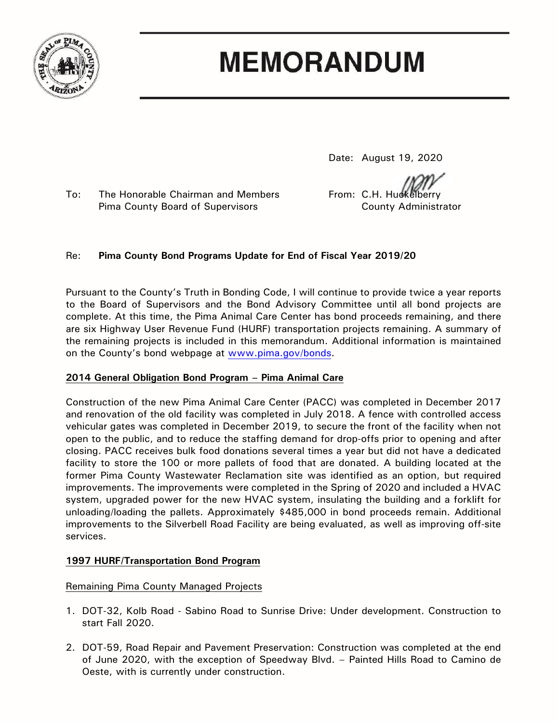

# **MEMORANDUM**

Date: August 19, 2020

To: The Honorable Chairman and Members From: C.H. Huckelberry Pima County Board of Supervisors County Administrator

## Re: **Pima County Bond Programs Update for End of Fiscal Year 2019/20**

Pursuant to the County's Truth in Bonding Code, I will continue to provide twice a year reports to the Board of Supervisors and the Bond Advisory Committee until all bond projects are complete. At this time, the Pima Animal Care Center has bond proceeds remaining, and there are six Highway User Revenue Fund (HURF) transportation projects remaining. A summary of the remaining projects is included in this memorandum. Additional information is maintained on the County's bond webpage at [www.pima.gov/bonds.](http://www.pima.gov/bonds)

### **2014 General Obligation Bond Program – Pima Animal Care**

Construction of the new Pima Animal Care Center (PACC) was completed in December 2017 and renovation of the old facility was completed in July 2018. A fence with controlled access vehicular gates was completed in December 2019, to secure the front of the facility when not open to the public, and to reduce the staffing demand for drop-offs prior to opening and after closing. PACC receives bulk food donations several times a year but did not have a dedicated facility to store the 100 or more pallets of food that are donated. A building located at the former Pima County Wastewater Reclamation site was identified as an option, but required improvements. The improvements were completed in the Spring of 2020 and included a HVAC system, upgraded power for the new HVAC system, insulating the building and a forklift for unloading/loading the pallets. Approximately \$485,000 in bond proceeds remain. Additional improvements to the Silverbell Road Facility are being evaluated, as well as improving off-site services.

### **1997 HURF/Transportation Bond Program**

### Remaining Pima County Managed Projects

- 1. DOT-32, Kolb Road Sabino Road to Sunrise Drive: Under development. Construction to start Fall 2020.
- 2. DOT-59, Road Repair and Pavement Preservation: Construction was completed at the end of June 2020, with the exception of Speedway Blvd. – Painted Hills Road to Camino de Oeste, with is currently under construction.